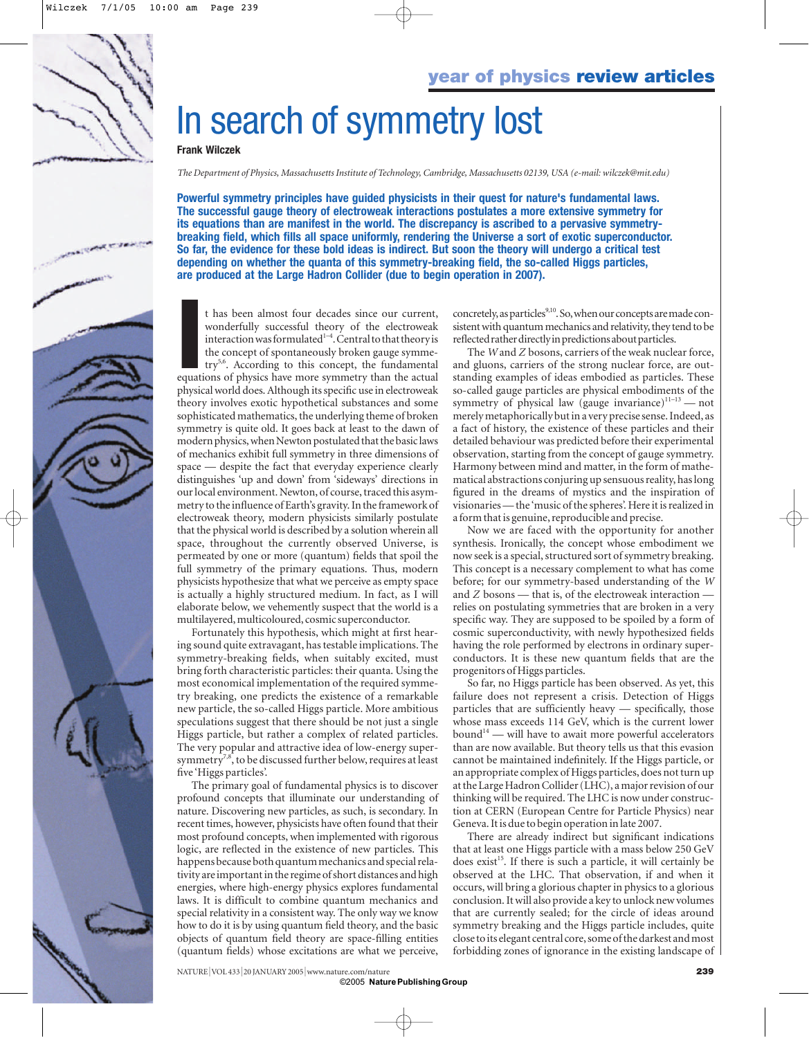# In search of symmetry lost

#### **Frank Wilczek**

*The Department of Physics, Massachusetts Institute of Technology, Cambridge, Massachusetts 02139, USA (e-mail: wilczek@mit.edu)*

**Powerful symmetry principles have guided physicists in their quest for nature's fundamental laws. The successful gauge theory of electroweak interactions postulates a more extensive symmetry for its equations than are manifest in the world. The discrepancy is ascribed to a pervasive symmetrybreaking field, which fills all space uniformly, rendering the Universe a sort of exotic superconductor. So far, the evidence for these bold ideas is indirect. But soon the theory will undergo a critical test depending on whether the quanta of this symmetry-breaking field, the so-called Higgs particles, are produced at the Large Hadron Collider (due to begin operation in 2007).** 



t has been almost four decades since our current,<br>wonderfully successful theory of the electroweak<br>interaction was formulated<sup>1-4</sup>. Central to that theory is<br>the concept of spontaneously broken gauge symme-<br>try<sup>5,6</sup>. Accor t has been almost four decades since our current, wonderfully successful theory of the electroweak interaction was formulated<sup>1-4</sup>. Central to that theory is the concept of spontaneously broken gauge symme-

try<sup>5,6</sup>. According to this concept, the fundamental physical world does. Although its specific use in electroweak theory involves exotic hypothetical substances and some sophisticated mathematics, the underlying theme of broken symmetry is quite old. It goes back at least to the dawn of modern physics, when Newton postulated that the basic laws of mechanics exhibit full symmetry in three dimensions of space — despite the fact that everyday experience clearly distinguishes 'up and down' from 'sideways' directions in our local environment. Newton, of course, traced this asymmetry to the influence of Earth's gravity. In the framework of electroweak theory, modern physicists similarly postulate that the physical world is described by a solution wherein all space, throughout the currently observed Universe, is permeated by one or more (quantum) fields that spoil the full symmetry of the primary equations. Thus, modern physicists hypothesize that what we perceive as empty space is actually a highly structured medium. In fact, as I will elaborate below, we vehemently suspect that the world is a multilayered, multicoloured, cosmic superconductor.

Fortunately this hypothesis, which might at first hearing sound quite extravagant, has testable implications. The symmetry-breaking fields, when suitably excited, must bring forth characteristic particles: their quanta. Using the most economical implementation of the required symmetry breaking, one predicts the existence of a remarkable new particle, the so-called Higgs particle. More ambitious speculations suggest that there should be not just a single Higgs particle, but rather a complex of related particles. The very popular and attractive idea of low-energy supersymmetry<sup>7,8</sup>, to be discussed further below, requires at least five 'Higgs particles'.

The primary goal of fundamental physics is to discover profound concepts that illuminate our understanding of nature. Discovering new particles, as such, is secondary. In recent times, however, physicists have often found that their most profound concepts, when implemented with rigorous logic, are reflected in the existence of new particles. This happens because both quantum mechanics and special relativity are important in the regime of short distances and high energies, where high-energy physics explores fundamental laws. It is difficult to combine quantum mechanics and special relativity in a consistent way. The only way we know how to do it is by using quantum field theory, and the basic objects of quantum field theory are space-filling entities (quantum fields) whose excitations are what we perceive,

concretely, as particles<sup>9,10</sup>. So, when our concepts are made consistent with quantum mechanics and relativity, they tend to be reflected rather directly in predictions about particles.

The *W* and *Z* bosons, carriers of the weak nuclear force, and gluons, carriers of the strong nuclear force, are outstanding examples of ideas embodied as particles. These so-called gauge particles are physical embodiments of the symmetry of physical law (gauge invariance) $11-13$  — not merely metaphorically but in a very precise sense. Indeed, as a fact of history, the existence of these particles and their detailed behaviour was predicted before their experimental observation, starting from the concept of gauge symmetry. Harmony between mind and matter, in the form of mathematical abstractions conjuring up sensuous reality, has long figured in the dreams of mystics and the inspiration of visionaries — the 'music of the spheres'. Here it is realized in a form that is genuine, reproducible and precise.

Now we are faced with the opportunity for another synthesis. Ironically, the concept whose embodiment we now seek is a special, structured sort of symmetry breaking. This concept is a necessary complement to what has come before; for our symmetry-based understanding of the *W* and *Z* bosons — that is, of the electroweak interaction relies on postulating symmetries that are broken in a very specific way. They are supposed to be spoiled by a form of cosmic superconductivity, with newly hypothesized fields having the role performed by electrons in ordinary superconductors. It is these new quantum fields that are the progenitors of Higgs particles.

So far, no Higgs particle has been observed. As yet, this failure does not represent a crisis. Detection of Higgs particles that are sufficiently heavy — specifically, those whose mass exceeds 114 GeV, which is the current lower  $bound<sup>14</sup>$  — will have to await more powerful accelerators than are now available. But theory tells us that this evasion cannot be maintained indefinitely. If the Higgs particle, or an appropriate complex of Higgs particles, does not turn up at the Large Hadron Collider (LHC), a major revision of our thinking will be required. The LHC is now under construction at CERN (European Centre for Particle Physics) near Geneva. It is due to begin operation in late 2007.

There are already indirect but significant indications that at least one Higgs particle with a mass below 250 GeV does exist<sup>15</sup>. If there is such a particle, it will certainly be observed at the LHC. That observation, if and when it occurs, will bring a glorious chapter in physics to a glorious conclusion. It will also provide a key to unlock new volumes that are currently sealed; for the circle of ideas around symmetry breaking and the Higgs particle includes, quite close to its elegant central core, some of the darkest and most forbidding zones of ignorance in the existing landscape of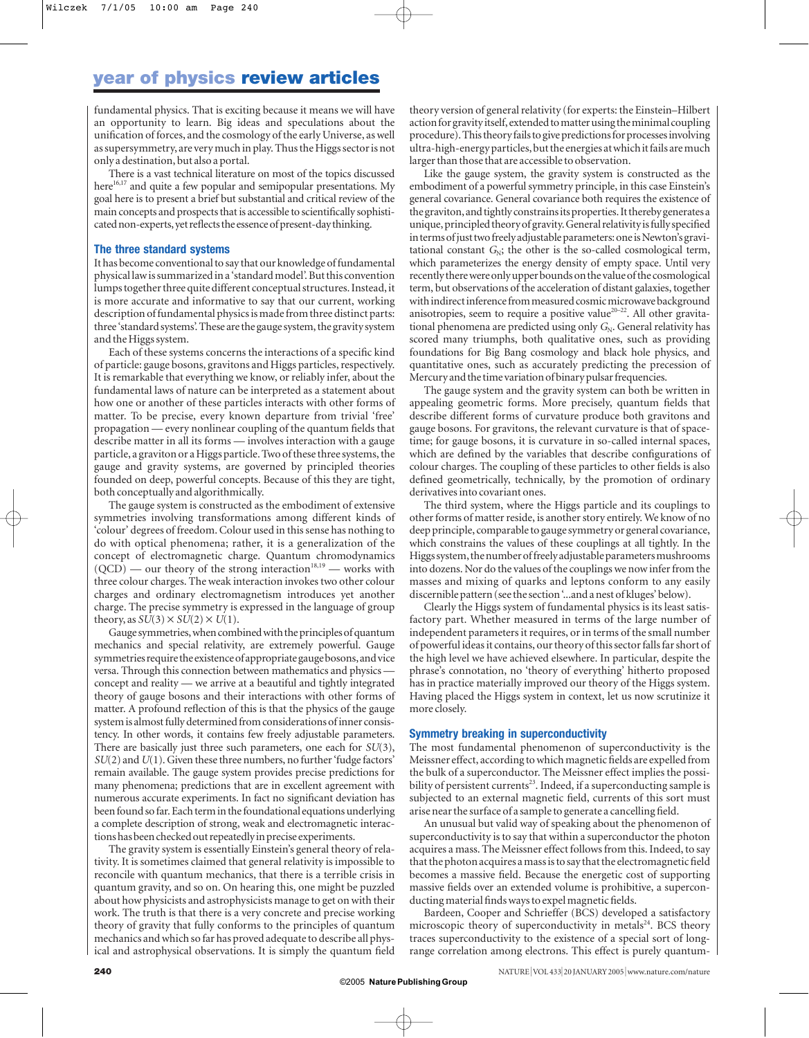fundamental physics. That is exciting because it means we will have an opportunity to learn. Big ideas and speculations about the unification of forces, and the cosmology of the early Universe, as well as supersymmetry, are very much in play. Thus the Higgs sector is not only a destination, but also a portal.

There is a vast technical literature on most of the topics discussed here<sup>16,17</sup> and quite a few popular and semipopular presentations. My goal here is to present a brief but substantial and critical review of the main concepts and prospects that is accessible to scientifically sophisticated non-experts, yet reflects the essence of present-day thinking.

### **The three standard systems**

It has become conventional to say that our knowledge of fundamental physical law is summarized in a 'standard model'. But this convention lumps together three quite different conceptual structures. Instead, it is more accurate and informative to say that our current, working description of fundamental physics is made from three distinct parts: three 'standard systems'. These are the gauge system, the gravity system and the Higgs system.

Each of these systems concerns the interactions of a specific kind of particle: gauge bosons, gravitons and Higgs particles, respectively. It is remarkable that everything we know, or reliably infer, about the fundamental laws of nature can be interpreted as a statement about how one or another of these particles interacts with other forms of matter. To be precise, every known departure from trivial 'free' propagation — every nonlinear coupling of the quantum fields that describe matter in all its forms — involves interaction with a gauge particle, a graviton or a Higgs particle. Two of these three systems, the gauge and gravity systems, are governed by principled theories founded on deep, powerful concepts. Because of this they are tight, both conceptually and algorithmically.

The gauge system is constructed as the embodiment of extensive symmetries involving transformations among different kinds of 'colour' degrees of freedom. Colour used in this sense has nothing to do with optical phenomena; rather, it is a generalization of the concept of electromagnetic charge. Quantum chromodynamics  $(QCD)$  — our theory of the strong interaction<sup>18,19</sup> — works with three colour charges. The weak interaction invokes two other colour charges and ordinary electromagnetism introduces yet another charge. The precise symmetry is expressed in the language of group theory, as  $SU(3) \times SU(2) \times U(1)$ .

Gauge symmetries, when combined with the principles of quantum mechanics and special relativity, are extremely powerful. Gauge symmetries require the existence of appropriate gauge bosons, and vice versa. Through this connection between mathematics and physics concept and reality — we arrive at a beautiful and tightly integrated theory of gauge bosons and their interactions with other forms of matter. A profound reflection of this is that the physics of the gauge system is almost fully determined from considerations of inner consistency. In other words, it contains few freely adjustable parameters. There are basically just three such parameters, one each for *SU*(3), *SU*(2) and *U*(1). Given these three numbers, no further 'fudge factors' remain available. The gauge system provides precise predictions for many phenomena; predictions that are in excellent agreement with numerous accurate experiments. In fact no significant deviation has been found so far. Each term in the foundational equations underlying a complete description of strong, weak and electromagnetic interactions has been checked out repeatedly in precise experiments.

The gravity system is essentially Einstein's general theory of relativity. It is sometimes claimed that general relativity is impossible to reconcile with quantum mechanics, that there is a terrible crisis in quantum gravity, and so on. On hearing this, one might be puzzled about how physicists and astrophysicists manage to get on with their work. The truth is that there is a very concrete and precise working theory of gravity that fully conforms to the principles of quantum mechanics and which so far has proved adequate to describe all physical and astrophysical observations. It is simply the quantum field

theory version of general relativity (for experts: the Einstein–Hilbert action for gravity itself, extended to matter using the minimal coupling procedure). This theory fails to give predictions for processes involving ultra-high-energy particles, but the energies at which it fails are much larger than those that are accessible to observation.

Like the gauge system, the gravity system is constructed as the embodiment of a powerful symmetry principle, in this case Einstein's general covariance. General covariance both requires the existence of the graviton, and tightly constrains its properties. It thereby generates a unique, principled theory of gravity. General relativity is fully specified in terms of just two freely adjustable parameters: one is Newton's gravitational constant  $G_N$ ; the other is the so-called cosmological term, which parameterizes the energy density of empty space. Until very recently there were only upper bounds on the value of the cosmological term, but observations of the acceleration of distant galaxies, together with indirect inference from measured cosmic microwave background anisotropies, seem to require a positive value<sup>20-22</sup>. All other gravitational phenomena are predicted using only *G*<sub>N</sub>. General relativity has scored many triumphs, both qualitative ones, such as providing foundations for Big Bang cosmology and black hole physics, and quantitative ones, such as accurately predicting the precession of Mercury and the time variation of binary pulsar frequencies.

The gauge system and the gravity system can both be written in appealing geometric forms. More precisely, quantum fields that describe different forms of curvature produce both gravitons and gauge bosons. For gravitons, the relevant curvature is that of spacetime; for gauge bosons, it is curvature in so-called internal spaces, which are defined by the variables that describe configurations of colour charges. The coupling of these particles to other fields is also defined geometrically, technically, by the promotion of ordinary derivatives into covariant ones.

The third system, where the Higgs particle and its couplings to other forms of matter reside, is another story entirely. We know of no deep principle, comparable to gauge symmetry or general covariance, which constrains the values of these couplings at all tightly. In the Higgs system, the number of freely adjustable parameters mushrooms into dozens. Nor do the values of the couplings we now infer from the masses and mixing of quarks and leptons conform to any easily discernible pattern (see the section '...and a nest of kluges' below).

Clearly the Higgs system of fundamental physics is its least satisfactory part. Whether measured in terms of the large number of independent parameters it requires, or in terms of the small number of powerful ideas it contains, our theory of this sector falls far short of the high level we have achieved elsewhere. In particular, despite the phrase's connotation, no 'theory of everything' hitherto proposed has in practice materially improved our theory of the Higgs system. Having placed the Higgs system in context, let us now scrutinize it more closely.

#### **Symmetry breaking in superconductivity**

The most fundamental phenomenon of superconductivity is the Meissner effect, according to which magnetic fields are expelled from the bulk of a superconductor. The Meissner effect implies the possibility of persistent currents<sup>23</sup>. Indeed, if a superconducting sample is subjected to an external magnetic field, currents of this sort must arise near the surface of a sample to generate a cancelling field.

An unusual but valid way of speaking about the phenomenon of superconductivity is to say that within a superconductor the photon acquires a mass. The Meissner effect follows from this. Indeed, to say that the photon acquires a mass is to say that the electromagnetic field becomes a massive field. Because the energetic cost of supporting massive fields over an extended volume is prohibitive, a superconducting material finds ways to expel magnetic fields.

Bardeen, Cooper and Schrieffer (BCS) developed a satisfactory microscopic theory of superconductivity in metals<sup>24</sup>. BCS theory traces superconductivity to the existence of a special sort of longrange correlation among electrons. This effect is purely quantum-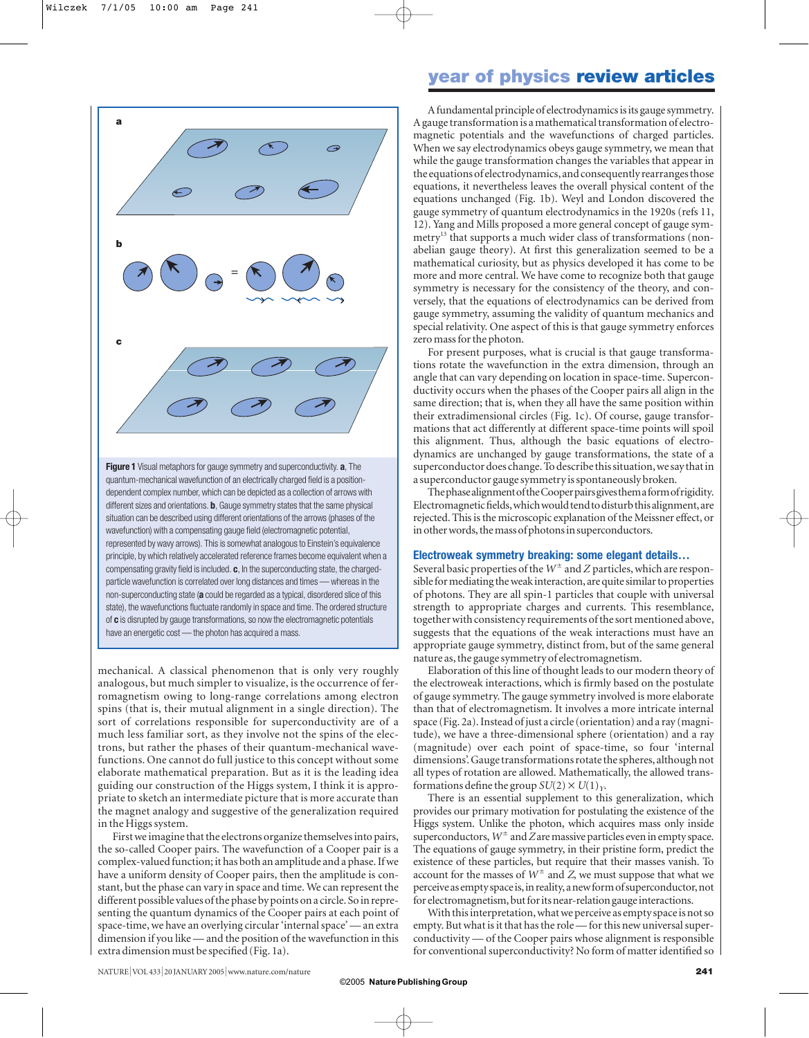

dependent complex number, which can be depicted as a collection of arrows with different sizes and orientations. **b**, Gauge symmetry states that the same physical situation can be described using different orientations of the arrows (phases of the wavefunction) with a compensating gauge field (electromagnetic potential, represented by wavy arrows). This is somewhat analogous to Einstein's equivalence principle, by which relatively accelerated reference frames become equivalent when a compensating gravity field is included. **c**, In the superconducting state, the chargedparticle wavefunction is correlated over long distances and times — whereas in the non-superconducting state (**a** could be regarded as a typical, disordered slice of this state), the wavefunctions fluctuate randomly in space and time. The ordered structure of **c** is disrupted by gauge transformations, so now the electromagnetic potentials have an energetic cost - the photon has acquired a mass.

mechanical. A classical phenomenon that is only very roughly analogous, but much simpler to visualize, is the occurrence of ferromagnetism owing to long-range correlations among electron spins (that is, their mutual alignment in a single direction). The sort of correlations responsible for superconductivity are of a much less familiar sort, as they involve not the spins of the electrons, but rather the phases of their quantum-mechanical wavefunctions. One cannot do full justice to this concept without some elaborate mathematical preparation. But as it is the leading idea guiding our construction of the Higgs system, I think it is appropriate to sketch an intermediate picture that is more accurate than the magnet analogy and suggestive of the generalization required in the Higgs system.

First we imagine that the electrons organize themselves into pairs, the so-called Cooper pairs. The wavefunction of a Cooper pair is a complex-valued function; it has both an amplitude and a phase. If we have a uniform density of Cooper pairs, then the amplitude is constant, but the phase can vary in space and time. We can represent the different possible values of the phase by points on a circle. So in representing the quantum dynamics of the Cooper pairs at each point of space-time, we have an overlying circular 'internal space' — an extra dimension if you like — and the position of the wavefunction in this extra dimension must be specified (Fig. 1a).

## **year of physics review articles**

A fundamental principle of electrodynamics is its gauge symmetry. A gauge transformation is a mathematical transformation of electromagnetic potentials and the wavefunctions of charged particles. When we say electrodynamics obeys gauge symmetry, we mean that while the gauge transformation changes the variables that appear in the equations of electrodynamics, and consequently rearranges those equations, it nevertheless leaves the overall physical content of the equations unchanged (Fig. 1b). Weyl and London discovered the gauge symmetry of quantum electrodynamics in the 1920s (refs 11, 12). Yang and Mills proposed a more general concept of gauge symmetry<sup>13</sup> that supports a much wider class of transformations (nonabelian gauge theory). At first this generalization seemed to be a mathematical curiosity, but as physics developed it has come to be more and more central. We have come to recognize both that gauge symmetry is necessary for the consistency of the theory, and conversely, that the equations of electrodynamics can be derived from gauge symmetry, assuming the validity of quantum mechanics and special relativity. One aspect of this is that gauge symmetry enforces zero mass for the photon.

For present purposes, what is crucial is that gauge transformations rotate the wavefunction in the extra dimension, through an angle that can vary depending on location in space-time. Superconductivity occurs when the phases of the Cooper pairs all align in the same direction; that is, when they all have the same position within their extradimensional circles (Fig. 1c). Of course, gauge transformations that act differently at different space-time points will spoil this alignment. Thus, although the basic equations of electrodynamics are unchanged by gauge transformations, the state of a superconductor does change. To describe this situation, we say that in a superconductor gauge symmetry is spontaneously broken.

The phase alignment of the Cooper pairs gives them a form of rigidity. Electromagnetic fields, which would tend to disturb this alignment, are rejected. This is the microscopic explanation of the Meissner effect, or in other words, the mass of photons in superconductors.

### **Electroweak symmetry breaking: some elegant details…**

Several basic properties of the  $W^{\pm}$  and  $Z$  particles, which are responsible for mediating the weak interaction, are quite similar to properties of photons. They are all spin-1 particles that couple with universal strength to appropriate charges and currents. This resemblance, together with consistency requirements of the sort mentioned above, suggests that the equations of the weak interactions must have an appropriate gauge symmetry, distinct from, but of the same general nature as, the gauge symmetry of electromagnetism.

Elaboration of this line of thought leads to our modern theory of the electroweak interactions, which is firmly based on the postulate of gauge symmetry. The gauge symmetry involved is more elaborate than that of electromagnetism. It involves a more intricate internal space (Fig. 2a). Instead of just a circle (orientation) and a ray (magnitude), we have a three-dimensional sphere (orientation) and a ray (magnitude) over each point of space-time, so four 'internal dimensions'. Gauge transformations rotate the spheres, although not all types of rotation are allowed. Mathematically, the allowed transformations define the group  $SU(2) \times U(1)_Y$ .

There is an essential supplement to this generalization, which provides our primary motivation for postulating the existence of the Higgs system. Unlike the photon, which acquires mass only inside superconductors,  $W^{\pm}$  and  $\overline{Z}$ are massive particles even in empty space. The equations of gauge symmetry, in their pristine form, predict the existence of these particles, but require that their masses vanish. To account for the masses of  $W^{\pm}$  and  $Z$ , we must suppose that what we perceive as empty space is, in reality, a new form of superconductor, not for electromagnetism, but for its near-relation gauge interactions.

With this interpretation, what we perceive as empty space is not so empty. But what is it that has the role — for this new universal superconductivity — of the Cooper pairs whose alignment is responsible for conventional superconductivity? No form of matter identified so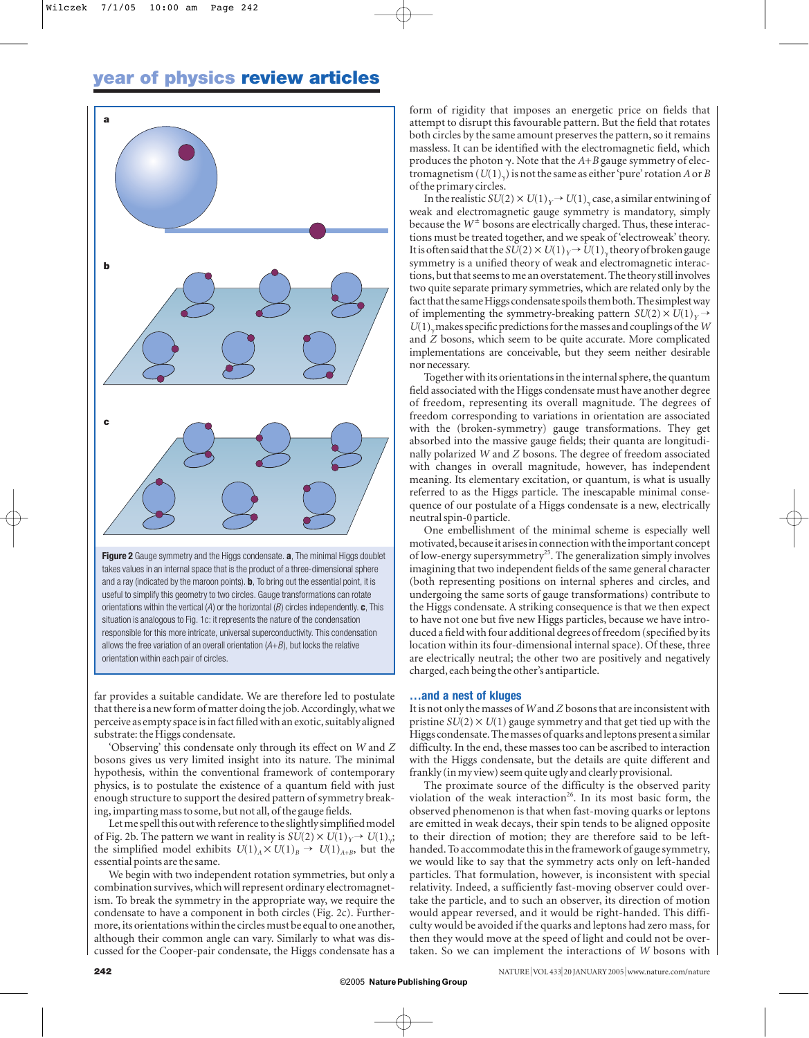

**Figure 2** Gauge symmetry and the Higgs condensate. **a**, The minimal Higgs doublet takes values in an internal space that is the product of a three-dimensional sphere and a ray (indicated by the maroon points). **b**, To bring out the essential point, it is useful to simplify this geometry to two circles. Gauge transformations can rotate orientations within the vertical (*A*) or the horizontal (*B*) circles independently. **c**, This situation is analogous to Fig. 1c: it represents the nature of the condensation responsible for this more intricate, universal superconductivity. This condensation allows the free variation of an overall orientation (*A*+*B*), but locks the relative orientation within each pair of circles.

far provides a suitable candidate. We are therefore led to postulate that there is a new form of matter doing the job. Accordingly, what we perceive as empty space is in fact filled with an exotic, suitably aligned substrate: the Higgs condensate.

'Observing' this condensate only through its effect on *W* and *Z* bosons gives us very limited insight into its nature. The minimal hypothesis, within the conventional framework of contemporary physics, is to postulate the existence of a quantum field with just enough structure to support the desired pattern of symmetry breaking, imparting mass to some, but not all, of the gauge fields.

Let me spell this out with reference to the slightly simplified model of Fig. 2b. The pattern we want in reality is  $SU(2) \times U(1)_Y \rightarrow U(1)_Y$ ; the simplified model exhibits  $U(1)_A \times U(1)_B \rightarrow U(1)_{A+B}$ , but the essential points are the same.

We begin with two independent rotation symmetries, but only a combination survives, which will represent ordinary electromagnetism. To break the symmetry in the appropriate way, we require the condensate to have a component in both circles (Fig. 2c). Furthermore, its orientations within the circles must be equal to one another, although their common angle can vary. Similarly to what was discussed for the Cooper-pair condensate, the Higgs condensate has a

form of rigidity that imposes an energetic price on fields that attempt to disrupt this favourable pattern. But the field that rotates both circles by the same amount preserves the pattern, so it remains massless. It can be identified with the electromagnetic field, which produces the photon  $\gamma$ . Note that the  $A+B$  gauge symmetry of electromagnetism  $(U(1)_{\gamma})$  is not the same as either 'pure' rotation *A* or *B* of the primary circles.

In the realistic  $SU(2) \times U(1)_Y \rightarrow U(1)_Y$  case, a similar entwining of weak and electromagnetic gauge symmetry is mandatory, simply because the  $W^{\pm}$  bosons are electrically charged. Thus, these interactions must be treated together, and we speak of 'electroweak' theory. It is often said that the  $SU(2) \times U(1)_Y \rightarrow U(1)_Y$  theory of broken gauge symmetry is a unified theory of weak and electromagnetic interactions, but that seems to me an overstatement. The theory still involves two quite separate primary symmetries, which are related only by the fact that the same Higgs condensate spoils them both. The simplest way of implementing the symmetry-breaking pattern  $SU(2) \times U(1)_Y \rightarrow$  $U(1)$ <sub>y</sub> makes specific predictions for the masses and couplings of the *W* and *Z* bosons, which seem to be quite accurate. More complicated implementations are conceivable, but they seem neither desirable nor necessary.

Together with its orientations in the internal sphere, the quantum field associated with the Higgs condensate must have another degree of freedom, representing its overall magnitude. The degrees of freedom corresponding to variations in orientation are associated with the (broken-symmetry) gauge transformations. They get absorbed into the massive gauge fields; their quanta are longitudinally polarized *W* and *Z* bosons. The degree of freedom associated with changes in overall magnitude, however, has independent meaning. Its elementary excitation, or quantum, is what is usually referred to as the Higgs particle. The inescapable minimal consequence of our postulate of a Higgs condensate is a new, electrically neutral spin-0 particle.

One embellishment of the minimal scheme is especially well motivated, because it arises in connection with the important concept of low-energy supersymmetry<sup>25</sup>. The generalization simply involves imagining that two independent fields of the same general character (both representing positions on internal spheres and circles, and undergoing the same sorts of gauge transformations) contribute to the Higgs condensate. A striking consequence is that we then expect to have not one but five new Higgs particles, because we have introduced a field with four additional degrees of freedom (specified by its location within its four-dimensional internal space). Of these, three are electrically neutral; the other two are positively and negatively charged, each being the other's antiparticle.

#### **…and a nest of kluges**

Itis not only the masses of *W*and *Z* bosons that are inconsistent with pristine  $SU(2) \times U(1)$  gauge symmetry and that get tied up with the Higgs condensate. The masses of quarks and leptons present a similar difficulty. In the end, these masses too can be ascribed to interaction with the Higgs condensate, but the details are quite different and frankly (in my view) seem quite ugly and clearly provisional.

The proximate source of the difficulty is the observed parity violation of the weak interaction<sup>26</sup>. In its most basic form, the observed phenomenon is that when fast-moving quarks or leptons are emitted in weak decays, their spin tends to be aligned opposite to their direction of motion; they are therefore said to be lefthanded. To accommodate this in the framework of gauge symmetry, we would like to say that the symmetry acts only on left-handed particles. That formulation, however, is inconsistent with special relativity. Indeed, a sufficiently fast-moving observer could overtake the particle, and to such an observer, its direction of motion would appear reversed, and it would be right-handed. This difficulty would be avoided if the quarks and leptons had zero mass, for then they would move at the speed of light and could not be overtaken. So we can implement the interactions of *W* bosons with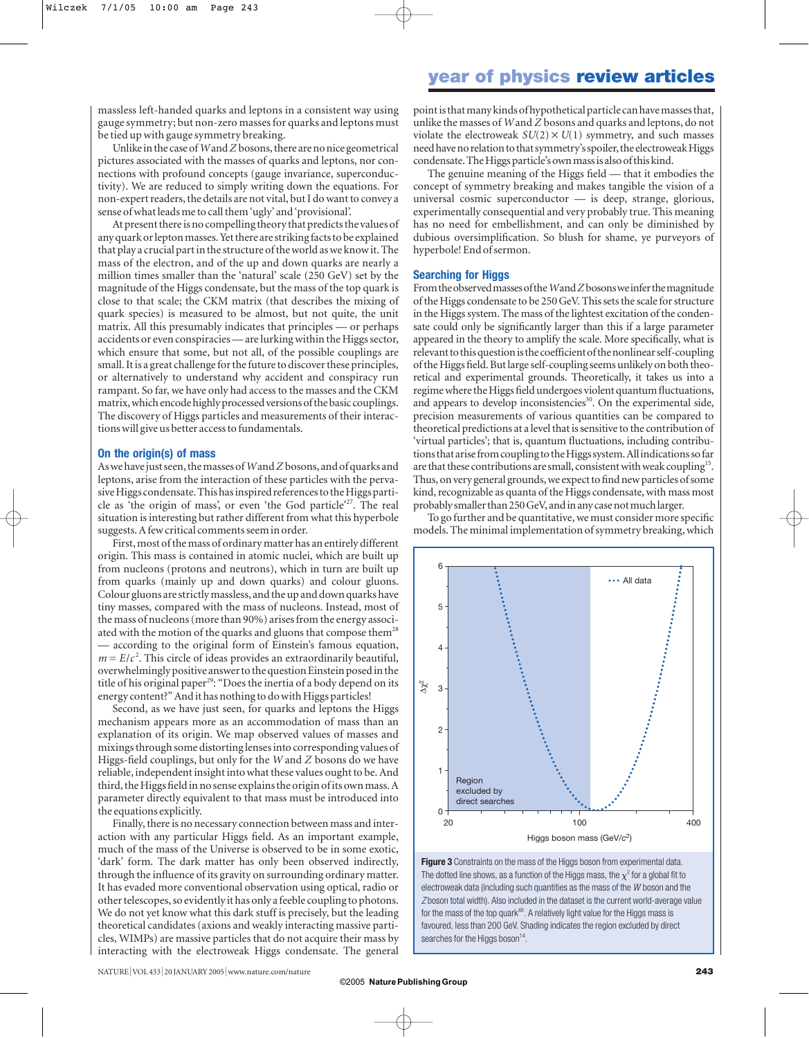massless left-handed quarks and leptons in a consistent way using gauge symmetry; but non-zero masses for quarks and leptons must be tied up with gauge symmetry breaking.

Unlike in the case of *W*and *Z* bosons, there are no nice geometrical pictures associated with the masses of quarks and leptons, nor connections with profound concepts (gauge invariance, superconductivity). We are reduced to simply writing down the equations. For non-expert readers, the details are not vital, but I do want to convey a sense of what leads me to call them 'ugly' and 'provisional'.

At present there is no compelling theory that predicts the values of any quark or lepton masses. Yet there are striking facts to be explained that play a crucial part in the structure of the world as we know it. The mass of the electron, and of the up and down quarks are nearly a million times smaller than the 'natural' scale (250 GeV) set by the magnitude of the Higgs condensate, but the mass of the top quark is close to that scale; the CKM matrix (that describes the mixing of quark species) is measured to be almost, but not quite, the unit matrix. All this presumably indicates that principles — or perhaps accidents or even conspiracies — are lurking within the Higgs sector, which ensure that some, but not all, of the possible couplings are small. It is a great challenge for the future to discover these principles, or alternatively to understand why accident and conspiracy run rampant. So far, we have only had access to the masses and the CKM matrix, which encode highly processed versions of the basic couplings. The discovery of Higgs particles and measurements of their interactions will give us better access to fundamentals.

### **On the origin(s) of mass**

Aswehave just seen, the masses of *W*and *Z* bosons, and of quarks and leptons, arise from the interaction of these particles with the pervasive Higgs condensate. This has inspired references to the Higgs particle as 'the origin of mass', or even 'the God particle'<sup>27</sup>. The real situation is interesting but rather different from what this hyperbole suggests. A few critical comments seem in order.

First, most of the mass of ordinary matter has an entirely different origin. This mass is contained in atomic nuclei, which are built up from nucleons (protons and neutrons), which in turn are built up from quarks (mainly up and down quarks) and colour gluons. Colour gluons are strictly massless, and the up and down quarks have tiny masses, compared with the mass of nucleons. Instead, most of the mass of nucleons (more than 90%) arises from the energy associated with the motion of the quarks and gluons that compose them<sup>28</sup> — according to the original form of Einstein's famous equation,  $m = E/c<sup>2</sup>$ . This circle of ideas provides an extraordinarily beautiful, overwhelmingly positive answer to the question Einstein posed in the title of his original paper<sup>29</sup>: "Does the inertia of a body depend on its energy content?" And it has nothing to do with Higgs particles!

Second, as we have just seen, for quarks and leptons the Higgs mechanism appears more as an accommodation of mass than an explanation of its origin. We map observed values of masses and mixings through some distorting lenses into corresponding values of Higgs-field couplings, but only for the *W* and *Z* bosons do we have reliable, independent insight into what these values ought to be. And third, the Higgs field in no sense explains the origin of its own mass. A parameter directly equivalent to that mass must be introduced into the equations explicitly.

Finally, there is no necessary connection between mass and interaction with any particular Higgs field. As an important example, much of the mass of the Universe is observed to be in some exotic, 'dark' form. The dark matter has only been observed indirectly, through the influence of its gravity on surrounding ordinary matter. It has evaded more conventional observation using optical, radio or other telescopes, so evidently it has only a feeble coupling to photons. We do not yet know what this dark stuff is precisely, but the leading theoretical candidates (axions and weakly interacting massive particles, WIMPs) are massive particles that do not acquire their mass by interacting with the electroweak Higgs condensate. The general

point is that many kinds of hypothetical particle can have masses that, unlike the masses of *W* and *Z* bosons and quarks and leptons, do not violate the electroweak  $SU(2) \times U(1)$  symmetry, and such masses need have no relation to that symmetry's spoiler, the electroweak Higgs condensate. The Higgs particle's own mass is also of this kind.

The genuine meaning of the Higgs field — that it embodies the concept of symmetry breaking and makes tangible the vision of a universal cosmic superconductor — is deep, strange, glorious, experimentally consequential and very probably true. This meaning has no need for embellishment, and can only be diminished by dubious oversimplification. So blush for shame, ye purveyors of hyperbole! End of sermon.

### **Searching for Higgs**

From the observed masses of the *W*and *Z* bosons we infer the magnitude of the Higgs condensate to be 250 GeV. This sets the scale for structure in the Higgs system. The mass of the lightest excitation of the condensate could only be significantly larger than this if a large parameter appeared in the theory to amplify the scale. More specifically, what is relevant to this question is the coefficient of the nonlinear self-coupling of the Higgs field. But large self-coupling seems unlikely on both theoretical and experimental grounds. Theoretically, it takes us into a regime where the Higgs field undergoes violent quantum fluctuations, and appears to develop inconsistencies<sup>30</sup>. On the experimental side, precision measurements of various quantities can be compared to theoretical predictions at a level that is sensitive to the contribution of 'virtual particles'; that is, quantum fluctuations, including contributions that arise from coupling to the Higgs system. All indications so far are that these contributions are small, consistent with weak coupling<sup>15</sup>. Thus, on very general grounds, we expect to find new particles of some kind, recognizable as quanta of the Higgs condensate, with mass most probably smaller than 250 GeV, and in any case not much larger.

To go further and be quantitative, we must consider more specific models. The minimal implementation of symmetry breaking, which



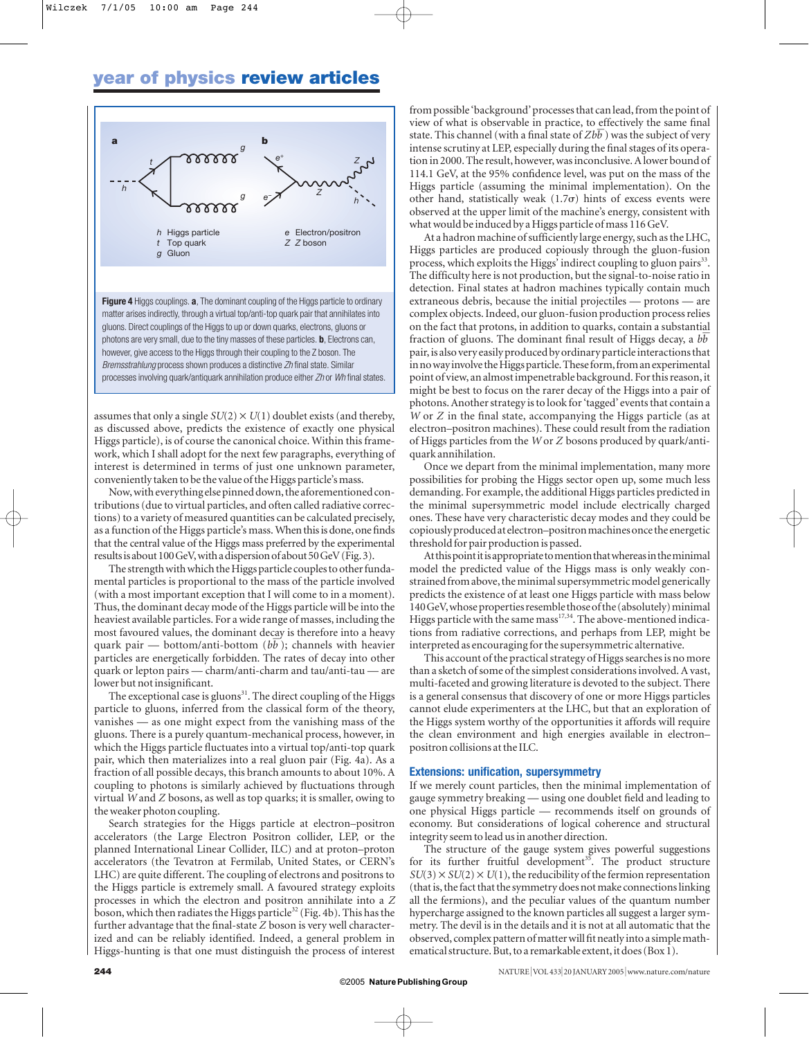

assumes that only a single  $SU(2) \times U(1)$  doublet exists (and thereby, as discussed above, predicts the existence of exactly one physical Higgs particle), is of course the canonical choice. Within this framework, which I shall adopt for the next few paragraphs, everything of interest is determined in terms of just one unknown parameter, conveniently taken to be the value of the Higgs particle's mass.

Now,with everything else pinned down, the aforementioned contributions (due to virtual particles, and often called radiative corrections) to a variety of measured quantities can be calculated precisely, as a function of the Higgs particle's mass. When this is done, one finds that the central value of the Higgs mass preferred by the experimental results is about 100 GeV, with a dispersion of about 50 GeV (Fig. 3).

The strength with which the Higgs particle couples to other fundamental particles is proportional to the mass of the particle involved (with a most important exception that I will come to in a moment). Thus, the dominant decay mode of the Higgs particle will be into the heaviest available particles. For a wide range of masses, including the most favoured values, the dominant decay is therefore into a heavy quark pair — bottom/anti-bottom (*bb*); channels with heavier particles are energetically forbidden. The rates of decay into other quark or lepton pairs — charm/anti-charm and tau/anti-tau — are lower but not insignificant.

The exceptional case is gluons<sup>31</sup>. The direct coupling of the Higgs particle to gluons, inferred from the classical form of the theory, vanishes — as one might expect from the vanishing mass of the gluons. There is a purely quantum-mechanical process, however, in which the Higgs particle fluctuates into a virtual top/anti-top quark pair, which then materializes into a real gluon pair (Fig. 4a). As a fraction of all possible decays, this branch amounts to about 10%. A coupling to photons is similarly achieved by fluctuations through virtual *W* and *Z* bosons, as well as top quarks; it is smaller, owing to the weaker photon coupling.

Search strategies for the Higgs particle at electron–positron accelerators (the Large Electron Positron collider, LEP, or the planned International Linear Collider, ILC) and at proton–proton accelerators (the Tevatron at Fermilab, United States, or CERN's LHC) are quite different. The coupling of electrons and positrons to the Higgs particle is extremely small. A favoured strategy exploits processes in which the electron and positron annihilate into a *Z* boson, which then radiates the Higgs particle<sup>32</sup> (Fig. 4b). This has the further advantage that the final-state *Z* boson is very well characterized and can be reliably identified. Indeed, a general problem in Higgs-hunting is that one must distinguish the process of interest

from possible 'background' processes that can lead, from the point of view of what is observable in practice, to effectively the same final state. This channel (with a final state of *Zbb*) was the subject of very intense scrutiny at LEP, especially during the final stages of its operation in 2000. The result, however, was inconclusive. A lower bound of 114.1 GeV, at the 95% confidence level, was put on the mass of the Higgs particle (assuming the minimal implementation). On the other hand, statistically weak  $(1.7\sigma)$  hints of excess events were observed at the upper limit of the machine's energy, consistent with what would be induced by a Higgs particle of mass 116 GeV.

At a hadron machine of sufficiently large energy, such as the LHC, Higgs particles are produced copiously through the gluon-fusion process, which exploits the Higgs' indirect coupling to gluon pairs<sup>33</sup>. The difficulty here is not production, but the signal-to-noise ratio in detection. Final states at hadron machines typically contain much extraneous debris, because the initial projectiles — protons — are complex objects. Indeed, our gluon-fusion production process relies on the fact that protons, in addition to quarks, contain a substantial fraction of gluons. The dominant final result of Higgs decay, a *bb* pair, is also very easily produced by ordinary particle interactions that in no way involve the Higgs particle. These form, from an experimental point of view, an almost impenetrable background. For this reason, it might be best to focus on the rarer decay of the Higgs into a pair of photons. Another strategy is to look for 'tagged' events that contain a *W* or *Z* in the final state, accompanying the Higgs particle (as at electron–positron machines). These could result from the radiation of Higgs particles from the *W* or *Z* bosons produced by quark/antiquark annihilation.

Once we depart from the minimal implementation, many more possibilities for probing the Higgs sector open up, some much less demanding. For example, the additional Higgs particles predicted in the minimal supersymmetric model include electrically charged ones. These have very characteristic decay modes and they could be copiously produced at electron–positron machines once the energetic threshold for pair production is passed.

Atthis point it is appropriate to mention that whereas in the minimal model the predicted value of the Higgs mass is only weakly constrained from above, the minimal supersymmetric model generically predicts the existence of at least one Higgs particle with mass below 140 GeV, whose properties resemble those of the (absolutely) minimal Higgs particle with the same mass $^{17,34}$ . The above-mentioned indications from radiative corrections, and perhaps from LEP, might be interpreted as encouraging for the supersymmetric alternative.

This account of the practical strategy of Higgs searches is no more than a sketch of some of the simplest considerations involved. A vast, multi-faceted and growing literature is devoted to the subject. There is a general consensus that discovery of one or more Higgs particles cannot elude experimenters at the LHC, but that an exploration of the Higgs system worthy of the opportunities it affords will require the clean environment and high energies available in electron– positron collisions at the ILC.

#### **Extensions: unification, supersymmetry**

If we merely count particles, then the minimal implementation of gauge symmetry breaking — using one doublet field and leading to one physical Higgs particle — recommends itself on grounds of economy. But considerations of logical coherence and structural integrity seem to lead us in another direction.

The structure of the gauge system gives powerful suggestions for its further fruitful development<sup>35</sup>. The product structure  $SU(3) \times SU(2) \times U(1)$ , the reducibility of the fermion representation (that is, the fact that the symmetry does not make connections linking all the fermions), and the peculiar values of the quantum number hypercharge assigned to the known particles all suggest a larger symmetry. The devil is in the details and it is not at all automatic that the observed, complex pattern of matter will fit neatly into a simple mathematical structure. But, to a remarkable extent, it does (Box 1).

©2005 **NaturePublishingGroup**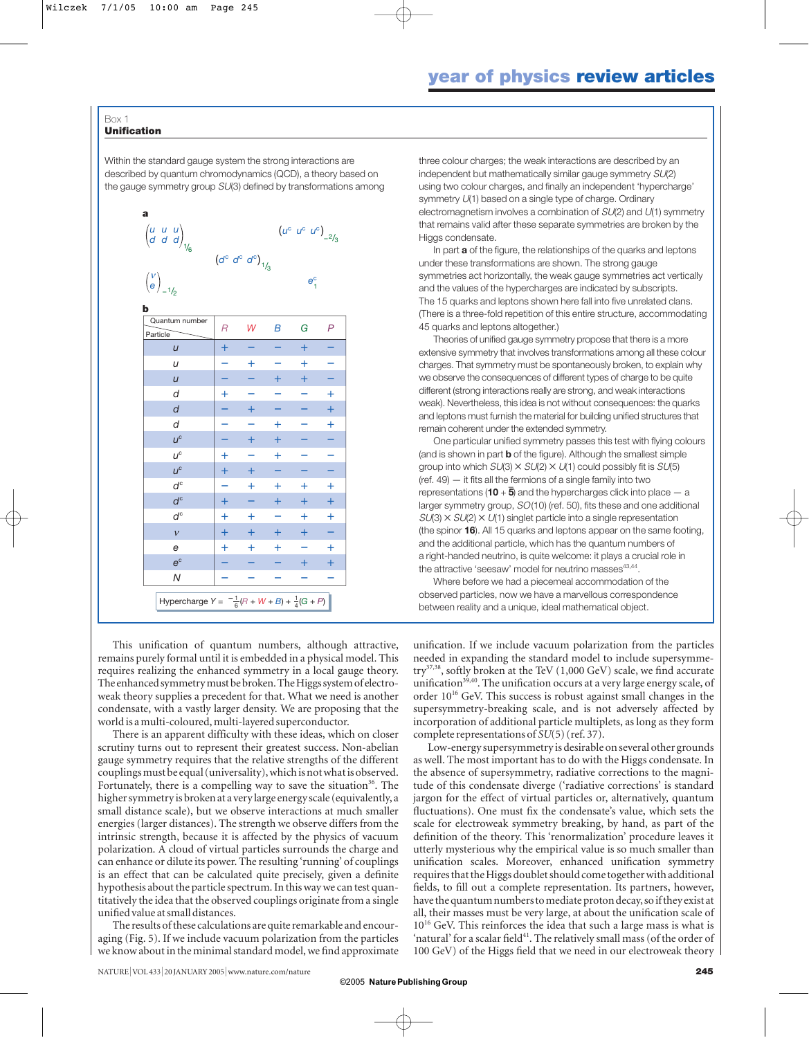#### Box 1 **Unification**

Within the standard gauge system the strong interactions are described by quantum chromodynamics (QCD), a theory based on the gauge symmetry group *SU*(3) defined by transformations among

| a<br>$\begin{pmatrix} u & u & u \\ d & d & d \end{pmatrix}_{\mathcal{V}_6}$ |                |                       | $(u^{c} u^{c} u^{c})_{-2/3}$ |           |                |
|-----------------------------------------------------------------------------|----------------|-----------------------|------------------------------|-----------|----------------|
| $\begin{pmatrix} v \\ e \end{pmatrix}_{-1/2}$                               |                | $(d^c d^c d^c)_{1/3}$ |                              | $e_1^c$   |                |
| b<br>Quantum number<br>Particle                                             | $\overline{R}$ | W                     | B                            | G         | $\mathsf{P}$   |
| $\overline{u}$                                                              | $\ddot{}$      |                       |                              | $+$       |                |
| U                                                                           |                | $\ddot{}$             |                              | $+$       |                |
| $\overline{u}$                                                              |                |                       | $\ddot{}$                    | $\ddot{}$ |                |
| d                                                                           | $\ddot{}$      |                       |                              |           | $\ddot{}$      |
| d                                                                           |                | $\ddot{}$             | Ļ                            |           | $\ddot{}$      |
| d                                                                           |                | f                     | $+$                          |           | $\ddag$        |
| $u^{\circ}$                                                                 |                | $\ddot{}$             | $\ddot{}$                    |           |                |
| $u^{\circ}$                                                                 | $\ddot{}$      |                       | $\ddot{}$                    |           |                |
| $u^{\circ}$                                                                 | $\ddot{}$      | $\ddot{}$             |                              |           | $\overline{a}$ |
| $d^{\rm c}$                                                                 |                | $\ddot{}$             | $+$                          | $+$       | $\ddot{}$      |
| $d^{\circ}$                                                                 | $\ddot{}$      |                       | $\ddot{}$                    | $\ddot{}$ | $\ddot{}$      |
| $d^{\circ}$                                                                 | $+$            | $\ddot{}$             |                              | $\ddot{}$ | $\pm$          |
| $\overline{V}$                                                              | $\ddot{}$      | $+$                   | $+$                          | $\ddot{}$ |                |
| e                                                                           | $\pm$          | $\pm$                 | $\pm$                        |           | $\ddot{}$      |
| $e^{c}$                                                                     |                |                       |                              | $+$       | $\pm$          |
| N                                                                           |                |                       |                              |           |                |
| Hypercharge $Y = \frac{-1}{6}(P + W + B) + \frac{1}{4}(G + P)$              |                |                       |                              |           |                |

This unification of quantum numbers, although attractive, remains purely formal until it is embedded in a physical model. This requires realizing the enhanced symmetry in a local gauge theory. The enhanced symmetry must be broken. The Higgs system of electroweak theory supplies a precedent for that. What we need is another condensate, with a vastly larger density. We are proposing that the world is a multi-coloured, multi-layered superconductor.

There is an apparent difficulty with these ideas, which on closer scrutiny turns out to represent their greatest success. Non-abelian gauge symmetry requires that the relative strengths of the different couplings must be equal (universality), which is not what is observed. Fortunately, there is a compelling way to save the situation<sup>36</sup>. The higher symmetry is broken at a very large energy scale (equivalently, a small distance scale), but we observe interactions at much smaller energies (larger distances). The strength we observe differs from the intrinsic strength, because it is affected by the physics of vacuum polarization. A cloud of virtual particles surrounds the charge and can enhance or dilute its power. The resulting 'running' of couplings is an effect that can be calculated quite precisely, given a definite hypothesis about the particle spectrum. In this way we can test quantitatively the idea that the observed couplings originate from a single unified value at small distances.

The results of these calculations are quite remarkable and encouraging (Fig. 5). If we include vacuum polarization from the particles we know about in the minimal standard model, we find approximate three colour charges; the weak interactions are described by an independent but mathematically similar gauge symmetry *SU*(2) using two colour charges, and finally an independent 'hypercharge' symmetry  $U(1)$  based on a single type of charge. Ordinary electromagnetism involves a combination of *SU*(2) and *U*(1) symmetry that remains valid after these separate symmetries are broken by the Higgs condensate.

In part **a** of the figure, the relationships of the quarks and leptons under these transformations are shown. The strong gauge symmetries act horizontally, the weak gauge symmetries act vertically and the values of the hypercharges are indicated by subscripts. The 15 quarks and leptons shown here fall into five unrelated clans. (There is a three-fold repetition of this entire structure, accommodating 45 quarks and leptons altogether.)

Theories of unified gauge symmetry propose that there is a more extensive symmetry that involves transformations among all these colour charges. That symmetry must be spontaneously broken, to explain why we observe the consequences of different types of charge to be quite different (strong interactions really are strong, and weak interactions weak). Nevertheless, this idea is not without consequences: the quarks and leptons must furnish the material for building unified structures that remain coherent under the extended symmetry.

One particular unified symmetry passes this test with flying colours (and is shown in part **b** of the figure). Although the smallest simple group into which  $SU(3) \times SU(2) \times U(1)$  could possibly fit is  $SU(5)$ (ref. 49) — it fits all the fermions of a single family into two representations (**10** + **5** – ) and the hypercharges click into place — a larger symmetry group, *SO*(10) (ref. 50), fits these and one additional  $SU(3) \times SU(2) \times U(1)$  singlet particle into a single representation (the spinor **16**). All 15 quarks and leptons appear on the same footing, and the additional particle, which has the quantum numbers of a right-handed neutrino, is quite welcome: it plays a crucial role in the attractive 'seesaw' model for neutrino masses<sup>43,44</sup>.

Where before we had a piecemeal accommodation of the observed particles, now we have a marvellous correspondence between reality and a unique, ideal mathematical object.

unification. If we include vacuum polarization from the particles needed in expanding the standard model to include supersymmetry<sup>37,38</sup>, softly broken at the TeV (1,000 GeV) scale, we find accurate unification<sup>39,40</sup>. The unification occurs at a very large energy scale, of order 10<sup>16</sup> GeV. This success is robust against small changes in the supersymmetry-breaking scale, and is not adversely affected by incorporation of additional particle multiplets, as long as they form complete representations of *SU*(5) (ref. 37).

Low-energy supersymmetry is desirable on several other grounds as well. The most important has to do with the Higgs condensate. In the absence of supersymmetry, radiative corrections to the magnitude of this condensate diverge ('radiative corrections' is standard jargon for the effect of virtual particles or, alternatively, quantum fluctuations). One must fix the condensate's value, which sets the scale for electroweak symmetry breaking, by hand, as part of the definition of the theory. This 'renormalization' procedure leaves it utterly mysterious why the empirical value is so much smaller than unification scales. Moreover, enhanced unification symmetry requires that the Higgs doublet should come together with additional fields, to fill out a complete representation. Its partners, however, have the quantum numbers to mediate proton decay, so if they exist at all, their masses must be very large, at about the unification scale of  $10^{16}$  GeV. This reinforces the idea that such a large mass is what is 'natural' for a scalar field<sup>41</sup>. The relatively small mass (of the order of 100 GeV) of the Higgs field that we need in our electroweak theory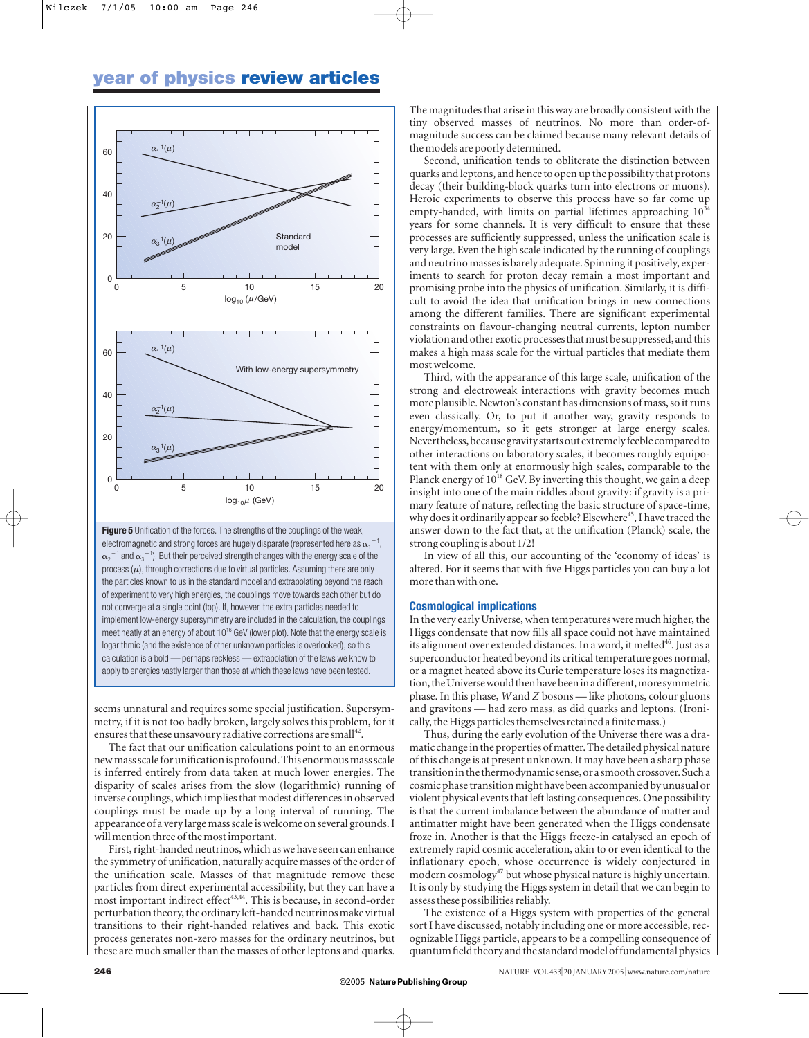

**Figure 5** Unification of the forces. The strengths of the couplings of the weak, electromagnetic and strong forces are hugely disparate (represented here as  $\alpha_1{}^{-1},$  ${\alpha_2}^{-1}$  and  ${\alpha_3}^{-1}$ ). But their perceived strength changes with the energy scale of the process ( $\mu$ ), through corrections due to virtual particles. Assuming there are only the particles known to us in the standard model and extrapolating beyond the reach of experiment to very high energies, the couplings move towards each other but do not converge at a single point (top). If, however, the extra particles needed to implement low-energy supersymmetry are included in the calculation, the couplings meet neatly at an energy of about 10<sup>16</sup> GeV (lower plot). Note that the energy scale is logarithmic (and the existence of other unknown particles is overlooked), so this calculation is a bold — perhaps reckless — extrapolation of the laws we know to apply to energies vastly larger than those at which these laws have been tested.

seems unnatural and requires some special justification. Supersymmetry, if it is not too badly broken, largely solves this problem, for it ensures that these unsayoury radiative corrections are small<sup>42</sup>.

The fact that our unification calculations point to an enormous new mass scale for unification is profound. This enormous mass scale is inferred entirely from data taken at much lower energies. The disparity of scales arises from the slow (logarithmic) running of inverse couplings, which implies that modest differences in observed couplings must be made up by a long interval of running. The appearance of a very large mass scale is welcome on several grounds. I will mention three of the most important.

First, right-handed neutrinos, which as we have seen can enhance the symmetry of unification, naturally acquire masses of the order of the unification scale. Masses of that magnitude remove these particles from direct experimental accessibility, but they can have a most important indirect effect<sup>43,44</sup>. This is because, in second-order perturbation theory, the ordinary left-handed neutrinos make virtual transitions to their right-handed relatives and back. This exotic process generates non-zero masses for the ordinary neutrinos, but these are much smaller than the masses of other leptons and quarks.

The magnitudes that arise in this way are broadly consistent with the tiny observed masses of neutrinos. No more than order-ofmagnitude success can be claimed because many relevant details of the models are poorly determined.

Second, unification tends to obliterate the distinction between quarks and leptons, and hence to open up the possibility that protons decay (their building-block quarks turn into electrons or muons). Heroic experiments to observe this process have so far come up empty-handed, with limits on partial lifetimes approaching  $10^{34}$ years for some channels. It is very difficult to ensure that these processes are sufficiently suppressed, unless the unification scale is very large. Even the high scale indicated by the running of couplings and neutrino masses is barely adequate. Spinning it positively, experiments to search for proton decay remain a most important and promising probe into the physics of unification. Similarly, it is difficult to avoid the idea that unification brings in new connections among the different families. There are significant experimental constraints on flavour-changing neutral currents, lepton number violation and other exotic processes that must be suppressed, and this makes a high mass scale for the virtual particles that mediate them most welcome.

Third, with the appearance of this large scale, unification of the strong and electroweak interactions with gravity becomes much more plausible. Newton's constant has dimensions of mass, so it runs even classically. Or, to put it another way, gravity responds to energy/momentum, so it gets stronger at large energy scales. Nevertheless, because gravity starts out extremely feeble compared to other interactions on laboratory scales, it becomes roughly equipotent with them only at enormously high scales, comparable to the Planck energy of  $10^{18}$  GeV. By inverting this thought, we gain a deep insight into one of the main riddles about gravity: if gravity is a primary feature of nature, reflecting the basic structure of space-time, why does it ordinarily appear so feeble? Elsewhere<sup>45</sup>, I have traced the answer down to the fact that, at the unification (Planck) scale, the strong coupling is about 1/2!

In view of all this, our accounting of the 'economy of ideas' is altered. For it seems that with five Higgs particles you can buy a lot more than with one.

### **Cosmological implications**

In the very early Universe, when temperatures were much higher, the Higgs condensate that now fills all space could not have maintained its alignment over extended distances. In a word, it melted<sup>46</sup>. Just as a superconductor heated beyond its critical temperature goes normal, or a magnet heated above its Curie temperature loses its magnetization, the Universe would then have been in a different, more symmetric phase. In this phase, *W* and *Z* bosons — like photons, colour gluons and gravitons — had zero mass, as did quarks and leptons. (Ironically, the Higgs particles themselves retained a finite mass.)

Thus, during the early evolution of the Universe there was a dramatic change in the properties of matter. The detailed physical nature of this change is at present unknown. It may have been a sharp phase transition in the thermodynamic sense, or a smooth crossover. Such a cosmic phase transition might have been accompanied by unusual or violent physical events that left lasting consequences. One possibility is that the current imbalance between the abundance of matter and antimatter might have been generated when the Higgs condensate froze in. Another is that the Higgs freeze-in catalysed an epoch of extremely rapid cosmic acceleration, akin to or even identical to the inflationary epoch, whose occurrence is widely conjectured in modern cosmology<sup>47</sup> but whose physical nature is highly uncertain. It is only by studying the Higgs system in detail that we can begin to assess these possibilities reliably.

The existence of a Higgs system with properties of the general sort I have discussed, notably including one or more accessible, recognizable Higgs particle, appears to be a compelling consequence of quantum field theory and the standard model of fundamental physics